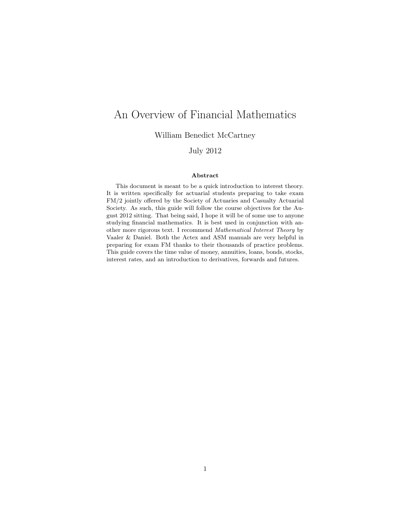# An Overview of Financial Mathematics

William Benedict McCartney

### July 2012

#### Abstract

This document is meant to be a quick introduction to interest theory. It is written specifically for actuarial students preparing to take exam FM/2 jointly offered by the Society of Actuaries and Casualty Actuarial Society. As such, this guide will follow the course objectives for the August 2012 sitting. That being said, I hope it will be of some use to anyone studying financial mathematics. It is best used in conjunction with another more rigorous text. I recommend Mathematical Interest Theory by Vaaler & Daniel. Both the Actex and ASM manuals are very helpful in preparing for exam FM thanks to their thousands of practice problems. This guide covers the time value of money, annuities, loans, bonds, stocks, interest rates, and an introduction to derivatives, forwards and futures.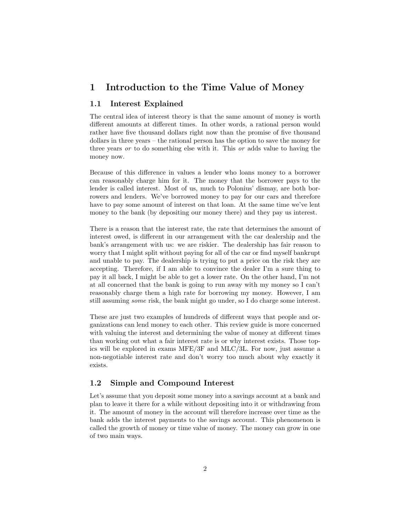# 1 Introduction to the Time Value of Money

#### 1.1 Interest Explained

The central idea of interest theory is that the same amount of money is worth different amounts at different times. In other words, a rational person would rather have five thousand dollars right now than the promise of five thousand dollars in three years – the rational person has the option to save the money for three years or to do something else with it. This or adds value to having the money now.

Because of this difference in values a lender who loans money to a borrower can reasonably charge him for it. The money that the borrower pays to the lender is called interest. Most of us, much to Polonius' dismay, are both borrowers and lenders. We've borrowed money to pay for our cars and therefore have to pay some amount of interest on that loan. At the same time we've lent money to the bank (by depositing our money there) and they pay us interest.

There is a reason that the interest rate, the rate that determines the amount of interest owed, is different in our arrangement with the car dealership and the bank's arrangement with us: we are riskier. The dealership has fair reason to worry that I might split without paying for all of the car or find myself bankrupt and unable to pay. The dealership is trying to put a price on the risk they are accepting. Therefore, if I am able to convince the dealer I'm a sure thing to pay it all back, I might be able to get a lower rate. On the other hand, I'm not at all concerned that the bank is going to run away with my money so I can't reasonably charge them a high rate for borrowing my money. However, I am still assuming some risk, the bank might go under, so I do charge some interest.

These are just two examples of hundreds of different ways that people and organizations can lend money to each other. This review guide is more concerned with valuing the interest and determining the value of money at different times than working out what a fair interest rate is or why interest exists. Those topics will be explored in exams MFE/3F and MLC/3L. For now, just assume a non-negotiable interest rate and don't worry too much about why exactly it exists.

### 1.2 Simple and Compound Interest

Let's assume that you deposit some money into a savings account at a bank and plan to leave it there for a while without depositing into it or withdrawing from it. The amount of money in the account will therefore increase over time as the bank adds the interest payments to the savings account. This phenomenon is called the growth of money or time value of money. The money can grow in one of two main ways.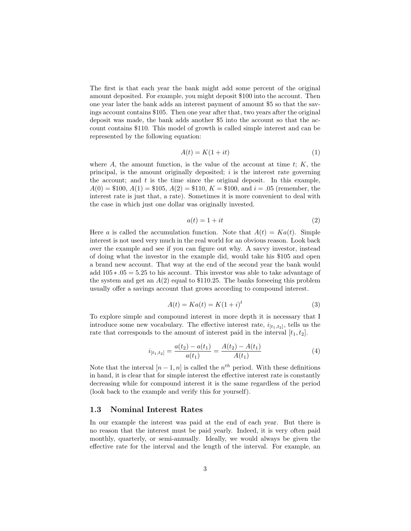The first is that each year the bank might add some percent of the original amount deposited. For example, you might deposit \$100 into the account. Then one year later the bank adds an interest payment of amount \$5 so that the savings account contains \$105. Then one year after that, two years after the original deposit was made, the bank adds another \$5 into the account so that the account contains \$110. This model of growth is called simple interest and can be represented by the following equation:

$$
A(t) = K(1 + it)
$$
\n<sup>(1)</sup>

where A, the amount function, is the value of the account at time  $t$ ;  $K$ , the principal, is the amount originally deposited;  $i$  is the interest rate governing the account; and  $t$  is the time since the original deposit. In this example,  $A(0) = $100, A(1) = $105, A(2) = $110, K = $100, \text{ and } i = .05 \text{ (remember, the)}$ interest rate is just that, a rate). Sometimes it is more convenient to deal with the case in which just one dollar was originally invested.

$$
a(t) = 1 + it \tag{2}
$$

Here a is called the accumulation function. Note that  $A(t) = Ka(t)$ . Simple interest is not used very much in the real world for an obvious reason. Look back over the example and see if you can figure out why. A savvy investor, instead of doing what the investor in the example did, would take his \$105 and open a brand new account. That way at the end of the second year the bank would add  $105*.05 = 5.25$  to his account. This investor was able to take advantage of the system and get an  $A(2)$  equal to \$110.25. The banks for seeing this problem usually offer a savings account that grows according to compound interest.

$$
A(t) = Ka(t) = K(1+i)^t
$$
\n<sup>(3)</sup>

To explore simple and compound interest in more depth it is necessary that I introduce some new vocabulary. The effective interest rate,  $i_{[t_1,t_2]}$ , tells us the rate that corresponds to the amount of interest paid in the interval  $[t_1, t_2]$ .

$$
i_{[t_1, t_2]} = \frac{a(t_2) - a(t_1)}{a(t_1)} = \frac{A(t_2) - A(t_1)}{A(t_1)}
$$
(4)

Note that the interval  $[n-1,n]$  is called the  $n^{th}$  period. With these definitions in hand, it is clear that for simple interest the effective interest rate is constantly decreasing while for compound interest it is the same regardless of the period (look back to the example and verify this for yourself).

#### 1.3 Nominal Interest Rates

In our example the interest was paid at the end of each year. But there is no reason that the interest must be paid yearly. Indeed, it is very often paid monthly, quarterly, or semi-annually. Ideally, we would always be given the effective rate for the interval and the length of the interval. For example, an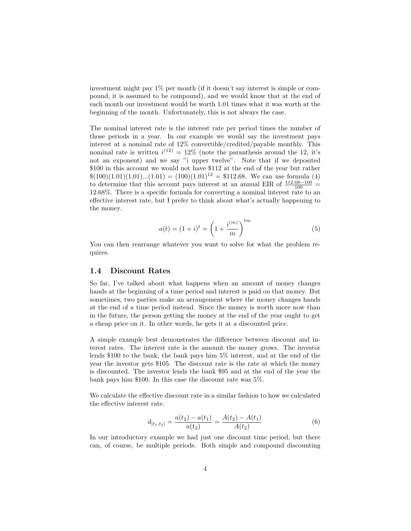investment might pay 1% per month (if it doesn't say interest is simple or compound, it is assumed to be compound), and we would know that at the end of each month our investment would be worth 1.01 times what it was worth at the beginning of the month. Unfortunately, this is not always the case.

The nominal interest rate is the interest rate per period times the number of those periods in a year. In our example we would say the investment pays interest at a nominal rate of 12% convertible/credited/payable monthly. This nominal rate is written  $i^{(12)} = 12\%$  (note the paranthesis around the 12, it's not an exponent) and we say "i upper twelve". Note that if we deposited \$100 in this account we would not have \$112 at the end of the year but rather  $\$(100)(1.01)(1.01)...(1.01) = (100)(1.01)^{12} = $112.68$ . We can use formula (4) to determine that this account pays interest at an annual EIR of  $\frac{112.68-100}{100}$ 12.68%. There is a specific formula for converting a nominal interest rate to an effective interest rate, but I prefer to think about what's actually happening to the money.

$$
a(t) = (1+i)^{t} = \left(1 + \frac{i^{(m)}}{m}\right)^{tm}
$$
\n(5)

You can then rearrange whatever you want to solve for what the problem requires.

#### 1.4 Discount Rates

So far, I've talked about what happens when an amount of money changes hands at the beginning of a time period and interest is paid on that money. But sometimes, two parties make an arrangement where the money changes hands at the end of a time period instead. Since the money is worth more now than in the future, the person getting the money at the end of the year ought to get a cheap price on it. In other words, he gets it at a discounted price.

A simple example best demonstrates the difference between discount and interest rates. The interest rate is the amount the money grows. The investor lends \$100 to the bank, the bank pays him 5% interest, and at the end of the year the investor gets \$105. The discount rate is the rate at which the money is discounted. The investor lends the bank \$95 and at the end of the year the bank pays him \$100. In this case the discount rate was 5%.

We calculate the effective discount rate in a similar fashion to how we calculated the effective interest rate.

$$
d_{[t_1, t_2]} = \frac{a(t_2) - a(t_1)}{a(t_2)} = \frac{A(t_2) - A(t_1)}{A(t_2)}
$$
(6)

In our introductory example we had just one discount time period, but there can, of course, be multiple periods. Both simple and compound discounting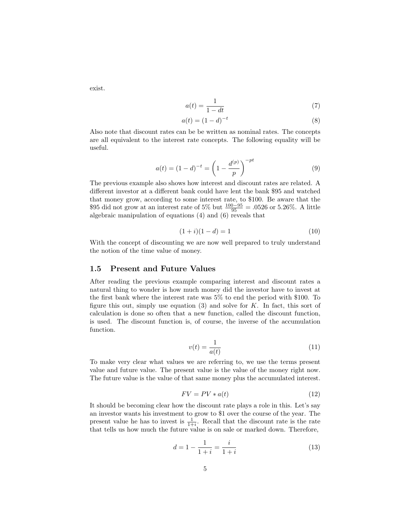exist.

$$
a(t) = \frac{1}{1 - dt} \tag{7}
$$

$$
a(t) = (1 - d)^{-t}
$$
 (8)

Also note that discount rates can be be written as nominal rates. The concepts are all equivalent to the interest rate concepts. The following equality will be useful.

$$
a(t) = (1 - d)^{-t} = \left(1 - \frac{d^{(p)}}{p}\right)^{-pt}
$$
\n(9)

The previous example also shows how interest and discount rates are related. A different investor at a different bank could have lent the bank \$95 and watched that money grow, according to some interest rate, to \$100. Be aware that the \$95 did not grow at an interest rate of 5% but  $\frac{100-95}{95}$  = .0526 or 5.26%. A little algebraic manipulation of equations (4) and (6) reveals that

$$
(1+i)(1-d) = 1
$$
\n(10)

With the concept of discounting we are now well prepared to truly understand the notion of the time value of money.

#### 1.5 Present and Future Values

After reading the previous example comparing interest and discount rates a natural thing to wonder is how much money did the investor have to invest at the first bank where the interest rate was 5% to end the period with \$100. To figure this out, simply use equation  $(3)$  and solve for K. In fact, this sort of calculation is done so often that a new function, called the discount function, is used. The discount function is, of course, the inverse of the accumulation function.

$$
v(t) = \frac{1}{a(t)}\tag{11}
$$

To make very clear what values we are referring to, we use the terms present value and future value. The present value is the value of the money right now. The future value is the value of that same money plus the accumulated interest.

$$
FV = PV * a(t) \tag{12}
$$

It should be becoming clear how the discount rate plays a role in this. Let's say an investor wants his investment to grow to \$1 over the course of the year. The present value he has to invest is  $\frac{1}{1+i}$ . Recall that the discount rate is the rate that tells us how much the future value is on sale or marked down. Therefore,

$$
d = 1 - \frac{1}{1+i} = \frac{i}{1+i} \tag{13}
$$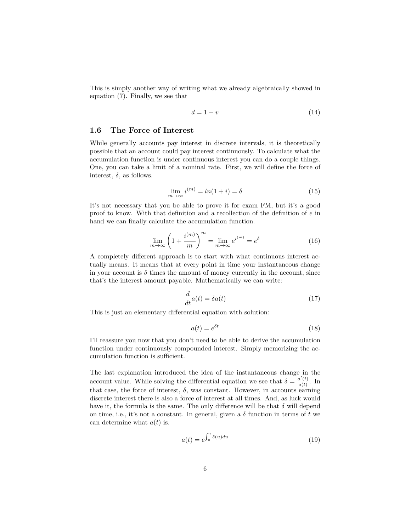This is simply another way of writing what we already algebraically showed in equation (7). Finally, we see that

$$
d = 1 - v \tag{14}
$$

#### 1.6 The Force of Interest

While generally accounts pay interest in discrete intervals, it is theoretically possible that an account could pay interest continuously. To calculate what the accumulation function is under continuous interest you can do a couple things. One, you can take a limit of a nominal rate. First, we will define the force of interest,  $\delta$ , as follows.

$$
\lim_{m \to \infty} i^{(m)} = \ln(1 + i) = \delta \tag{15}
$$

It's not necessary that you be able to prove it for exam FM, but it's a good proof to know. With that definition and a recollection of the definition of e in hand we can finally calculate the accumulation function.

$$
\lim_{m \to \infty} \left( 1 + \frac{i^{(m)}}{m} \right)^m = \lim_{m \to \infty} e^{i^{(m)}} = e^{\delta} \tag{16}
$$

A completely different approach is to start with what continuous interest actually means. It means that at every point in time your instantaneous change in your account is  $\delta$  times the amount of money currently in the account, since that's the interest amount payable. Mathematically we can write:

$$
\frac{d}{dt}a(t) = \delta a(t) \tag{17}
$$

This is just an elementary differential equation with solution:

$$
a(t) = e^{\delta t} \tag{18}
$$

I'll reassure you now that you don't need to be able to derive the accumulation function under continuously compounded interest. Simply memorizing the accumulation function is sufficient.

The last explanation introduced the idea of the instantaneous change in the account value. While solving the differential equation we see that  $\delta = \frac{a'(t)}{a(t)}$  $rac{a(t)}{a(t)}$ . In that case, the force of interest,  $\delta$ , was constant. However, in accounts earning discrete interest there is also a force of interest at all times. And, as luck would have it, the formula is the same. The only difference will be that  $\delta$  will depend on time, i.e., it's not a constant. In general, given a  $\delta$  function in terms of t we can determine what  $a(t)$  is.

$$
a(t) = e^{\int_0^t \delta(u) du} \tag{19}
$$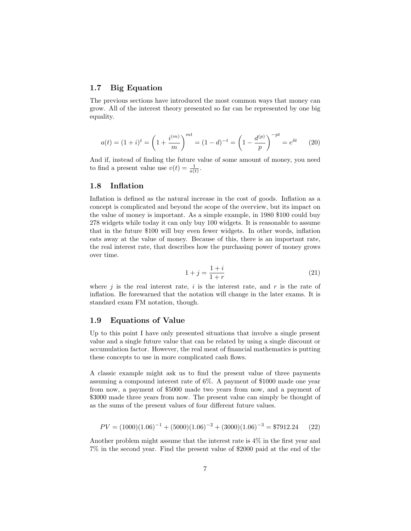#### 1.7 Big Equation

The previous sections have introduced the most common ways that money can grow. All of the interest theory presented so far can be represented by one big equality.

$$
a(t) = (1+i)^t = \left(1 + \frac{i^{(m)}}{m}\right)^{mt} = (1-d)^{-t} = \left(1 - \frac{d^{(p)}}{p}\right)^{-pt} = e^{\delta t} \tag{20}
$$

And if, instead of finding the future value of some amount of money, you need to find a present value use  $v(t) = \frac{1}{a(t)}$ .

#### 1.8 Inflation

Inflation is defined as the natural increase in the cost of goods. Inflation as a concept is complicated and beyond the scope of the overview, but its impact on the value of money is important. As a simple example, in 1980 \$100 could buy 278 widgets while today it can only buy 100 widgets. It is reasonable to assume that in the future \$100 will buy even fewer widgets. In other words, inflation eats away at the value of money. Because of this, there is an important rate, the real interest rate, that describes how the purchasing power of money grows over time.

$$
1 + j = \frac{1 + i}{1 + r} \tag{21}
$$

where  $i$  is the real interest rate, i is the interest rate, and r is the rate of inflation. Be forewarned that the notation will change in the later exams. It is standard exam FM notation, though.

#### 1.9 Equations of Value

Up to this point I have only presented situations that involve a single present value and a single future value that can be related by using a single discount or accumulation factor. However, the real meat of financial mathematics is putting these concepts to use in more complicated cash flows.

A classic example might ask us to find the present value of three payments assuming a compound interest rate of 6%. A payment of \$1000 made one year from now, a payment of \$5000 made two years from now, and a payment of \$3000 made three years from now. The present value can simply be thought of as the sums of the present values of four different future values.

$$
PV = (1000)(1.06)^{-1} + (5000)(1.06)^{-2} + (3000)(1.06)^{-3} = $7912.24
$$
 (22)

Another problem might assume that the interest rate is 4% in the first year and 7% in the second year. Find the present value of \$2000 paid at the end of the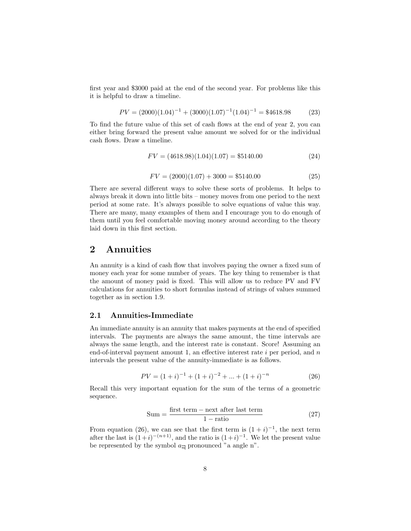first year and \$3000 paid at the end of the second year. For problems like this it is helpful to draw a timeline.

$$
PV = (2000)(1.04)^{-1} + (3000)(1.07)^{-1}(1.04)^{-1} = $4618.98
$$
 (23)

To find the future value of this set of cash flows at the end of year 2, you can either bring forward the present value amount we solved for or the individual cash flows. Draw a timeline.

$$
FV = (4618.98)(1.04)(1.07) = $5140.00
$$
\n(24)

$$
FV = (2000)(1.07) + 3000 = $5140.00
$$
\n(25)

There are several different ways to solve these sorts of problems. It helps to always break it down into little bits – money moves from one period to the next period at some rate. It's always possible to solve equations of value this way. There are many, many examples of them and I encourage you to do enough of them until you feel comfortable moving money around according to the theory laid down in this first section.

## 2 Annuities

An annuity is a kind of cash flow that involves paying the owner a fixed sum of money each year for some number of years. The key thing to remember is that the amount of money paid is fixed. This will allow us to reduce PV and FV calculations for annuities to short formulas instead of strings of values summed together as in section 1.9.

#### 2.1 Annuities-Immediate

An immediate annuity is an annuity that makes payments at the end of specified intervals. The payments are always the same amount, the time intervals are always the same length, and the interest rate is constant. Score! Assuming an end-of-interval payment amount 1, an effective interest rate  $i$  per period, and  $n$ intervals the present value of the annuity-immediate is as follows.

$$
PV = (1+i)^{-1} + (1+i)^{-2} + \dots + (1+i)^{-n}
$$
 (26)

Recall this very important equation for the sum of the terms of a geometric sequence.

$$
Sum = \frac{first term - next after last term}{1 - ratio} \tag{27}
$$

From equation (26), we can see that the first term is  $(1 + i)^{-1}$ , the next term after the last is  $(1+i)^{-(n+1)}$ , and the ratio is  $(1+i)^{-1}$ . We let the present value be represented by the symbol  $a_{\overline{n}}$  pronounced "a angle n".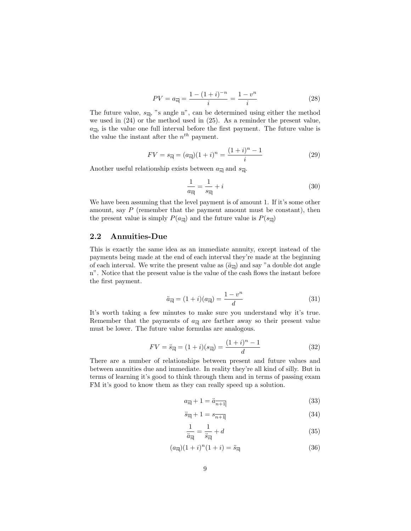$$
PV = a_{\overline{n}|} = \frac{1 - (1+i)^{-n}}{i} = \frac{1 - v^n}{i}
$$
 (28)

The future value,  $s_{\overline{n}}$ , "s angle n", can be determined using either the method we used in (24) or the method used in (25). As a reminder the present value,  $a_{\overline{n}|}$ , is the value one full interval before the first payment. The future value is the value the instant after the  $n^{th}$  payment.

$$
FV = s_{\overline{n}|} = (a_{\overline{n}|})(1+i)^n = \frac{(1+i)^n - 1}{i}
$$
 (29)

Another useful relationship exists between  $a_{\overline{n}|}$  and  $s_{\overline{n}|}$ .

$$
\frac{1}{a_{\overline{n}|}} = \frac{1}{s_{\overline{n}|}} + i \tag{30}
$$

We have been assuming that the level payment is of amount 1. If it's some other amount, say  $P$  (remember that the payment amount must be constant), then the present value is simply  $P(a_{\overline{n}})$  and the future value is  $P(s_{\overline{n}})$ 

#### 2.2 Annuities-Due

This is exactly the same idea as an immediate annuity, except instead of the payments being made at the end of each interval they're made at the beginning of each interval. We write the present value as  $(\ddot{a}_{\overline{n}})$  and say "a double dot angle n". Notice that the present value is the value of the cash flows the instant before the first payment.

$$
\ddot{a}_{\overline{n}|} = (1+i)(a_{\overline{n}|}) = \frac{1-v^n}{d} \tag{31}
$$

It's worth taking a few minutes to make sure you understand why it's true. Remember that the payments of  $a_{\overline{n}|}$  are farther away so their present value must be lower. The future value formulas are analogous.

$$
FV = \ddot{s}_{\overline{n}|} = (1+i)(s_{\overline{n}|}) = \frac{(1+i)^n - 1}{d} \tag{32}
$$

There are a number of relationships between present and future values and between annuities due and immediate. In reality they're all kind of silly. But in terms of learning it's good to think through them and in terms of passing exam FM it's good to know them as they can really speed up a solution.

$$
a_{\overline{n}|} + 1 = \ddot{a}_{\overline{n+1}|} \tag{33}
$$

$$
\ddot{s}_{\overline{n}|} + 1 = s_{\overline{n+1}|} \tag{34}
$$

$$
\frac{1}{\ddot{a}_{\overline{n}}} = \frac{1}{\ddot{s}_{\overline{n}}} + d\tag{35}
$$

$$
(a_{\overline{n}})(1+i)^n(1+i) = \ddot{s}_{\overline{n}} \tag{36}
$$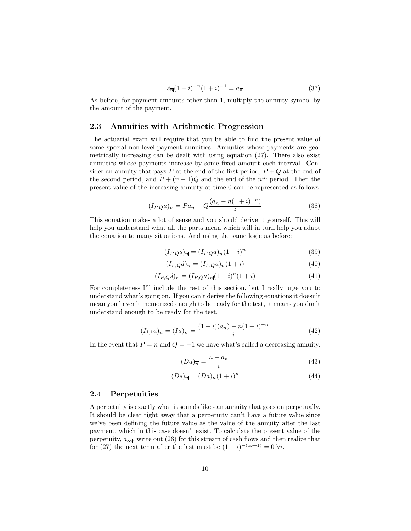$$
\ddot{s}_{\overline{n}}(1+i)^{-n}(1+i)^{-1} = a_{\overline{n}} \tag{37}
$$

As before, for payment amounts other than 1, multiply the annuity symbol by the amount of the payment.

#### 2.3 Annuities with Arithmetic Progression

The actuarial exam will require that you be able to find the present value of some special non-level-payment annuities. Annuities whose payments are geometrically increasing can be dealt with using equation (27). There also exist annuities whose payments increase by some fixed amount each interval. Consider an annuity that pays P at the end of the first period,  $P + Q$  at the end of the second period, and  $P + (n-1)Q$  and the end of the  $n<sup>th</sup>$  period. Then the present value of the increasing annuity at time 0 can be represented as follows.

$$
(I_{P,Q}a)_{\overline{n}|} = Pa_{\overline{n}|} + Q\frac{(a_{\overline{n}|} - n(1+i)^{-n})}{i}
$$
\n(38)

This equation makes a lot of sense and you should derive it yourself. This will help you understand what all the parts mean which will in turn help you adapt the equation to many situations. And using the same logic as before:

$$
(I_{P,Q}s)_{\overline{n}} = (I_{P,Q}a)_{\overline{n}}(1+i)^n
$$
\n(39)

$$
(I_{P,Q}\ddot{a})_{\overline{n}} = (I_{P,Q}a)_{\overline{n}}(1+i)
$$
\n(40)

$$
(I_{P,Q}\ddot{s})_{\overline{n}} = (I_{P,Q}a)_{\overline{n}}(1+i)^n(1+i)
$$
\n(41)

For completeness I'll include the rest of this section, but I really urge you to understand what's going on. If you can't derive the following equations it doesn't mean you haven't memorized enough to be ready for the test, it means you don't understand enough to be ready for the test.

$$
(I_{1,1}a)_{\overline{n}|} = (Ia)_{\overline{n}|} = \frac{(1+i)(a_{\overline{n}|}) - n(1+i)^{-n}}{i}
$$
(42)

In the event that  $P = n$  and  $Q = -1$  we have what's called a decreasing annuity.

$$
(Da)_{\overline{n}|} = \frac{n - a_{\overline{n}|}}{i} \tag{43}
$$

$$
(Ds)_{\overline{n}|} = (Da)_{\overline{n}|} (1+i)^n \tag{44}
$$

#### 2.4 Perpetuities

A perpetuity is exactly what it sounds like - an annuity that goes on perpetually. It should be clear right away that a perpetuity can't have a future value since we've been defining the future value as the value of the annuity after the last payment, which in this case doesn't exist. To calculate the present value of the perpetuity,  $a_{\overline{\infty}}$ , write out (26) for this stream of cash flows and then realize that for (27) the next term after the last must be  $(1+i)^{-(\infty+1)} = 0 \forall i$ .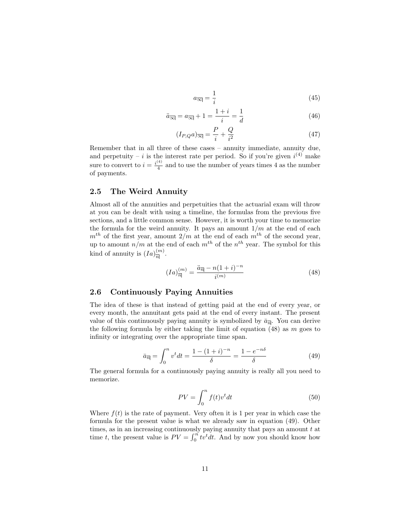$$
a_{\overline{\infty}|} = \frac{1}{i} \tag{45}
$$

$$
\ddot{a}_{\overline{\infty}} = a_{\overline{\infty}} + 1 = \frac{1+i}{i} = \frac{1}{d}
$$
\n(46)

$$
(I_{P,Q}a)_{\overline{\infty}} = \frac{P}{i} + \frac{Q}{i^2}
$$
\n
$$
(47)
$$

Remember that in all three of these cases – annuity immediate, annuity due, and perpetuity – i is the interest rate per period. So if you're given  $i^{(4)}$  make sure to convert to  $i = \frac{i^{(4)}}{4}$  $\frac{1}{4}$  and to use the number of years times 4 as the number of payments.

#### 2.5 The Weird Annuity

Almost all of the annuities and perpetuities that the actuarial exam will throw at you can be dealt with using a timeline, the formulas from the previous five sections, and a little common sense. However, it is worth your time to memorize the formula for the weird annuity. It pays an amount  $1/m$  at the end of each  $m^{th}$  of the first year, amount  $2/m$  at the end of each  $m^{th}$  of the second year, up to amount  $n/m$  at the end of each  $m^{th}$  of the  $n^{th}$  year. The symbol for this kind of annuity is  $(Ia)_{\overline{n}}^{(m)}$  $rac{(m)}{n}$ .

$$
(Ia)^{(m)}_{\overline{n}|} = \frac{\ddot{a}_{\overline{n}|} - n(1+i)^{-n}}{i^{(m)}}
$$
\n(48)

#### 2.6 Continuously Paying Annuities

The idea of these is that instead of getting paid at the end of every year, or every month, the annuitant gets paid at the end of every instant. The present value of this continuously paying annuity is symbolized by  $\bar{a}_{\overline{n}|}$ . You can derive the following formula by either taking the limit of equation  $(48)$  as m goes to infinity or integrating over the appropriate time span.

$$
\bar{a}_{\overline{n}|} = \int_0^n v^t dt = \frac{1 - (1 + i)^{-n}}{\delta} = \frac{1 - e^{-n\delta}}{\delta} \tag{49}
$$

The general formula for a continuously paying annuity is really all you need to memorize.

$$
PV = \int_0^n f(t)v^t dt
$$
\n(50)

Where  $f(t)$  is the rate of payment. Very often it is 1 per year in which case the formula for the present value is what we already saw in equation (49). Other times, as in an increasing continuously paying annuity that pays an amount  $t$  at time t, the present value is  $PV = \int_0^{\pi} t v^t dt$ . And by now you should know how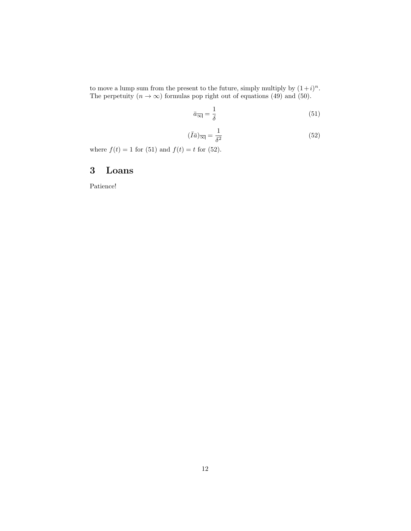to move a lump sum from the present to the future, simply multiply by  $(1+i)^n$ . The perpetuity  $(n \to \infty)$  formulas pop right out of equations (49) and (50).

$$
\bar{a}_{\overline{\infty}|} = \frac{1}{\delta} \tag{51}
$$

$$
(\bar{I}\bar{a})_{\overline{\infty}} = \frac{1}{\delta^2} \tag{52}
$$

where  $f(t) = 1$  for (51) and  $f(t) = t$  for (52).

# 3 Loans

Patience!